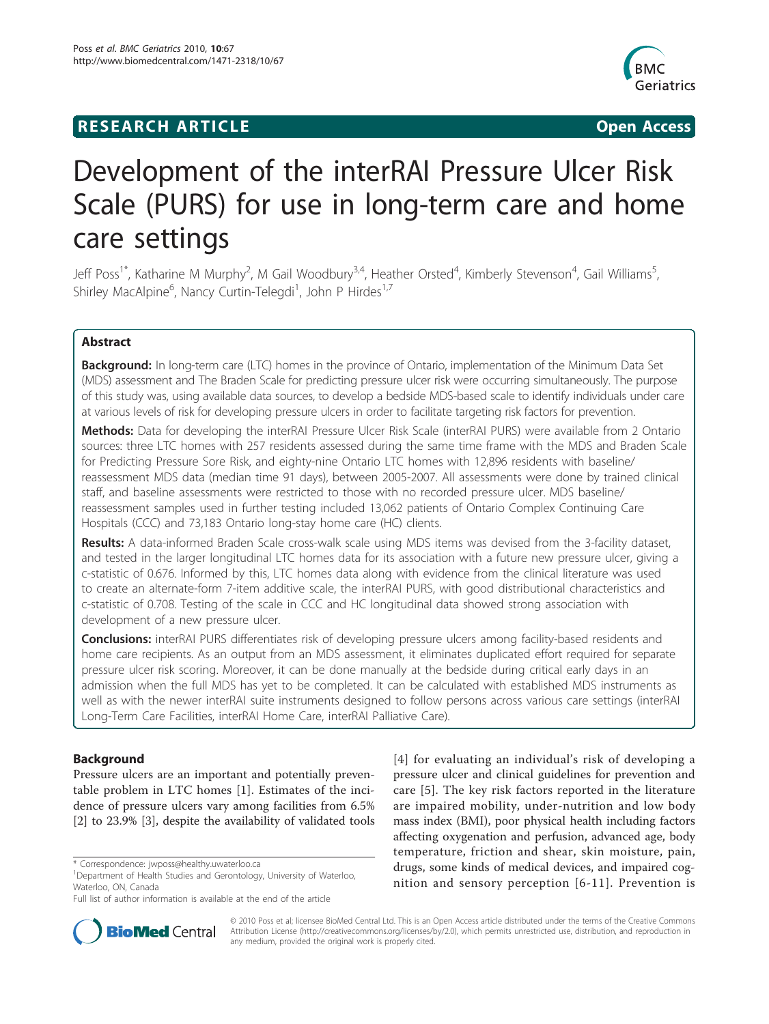## **RESEARCH ARTICLE Example 2018 12:00 Department of the Contract Open Access**



# Development of the interRAI Pressure Ulcer Risk Scale (PURS) for use in long-term care and home care settings

Jeff Poss<sup>1\*</sup>, Katharine M Murphy<sup>2</sup>, M Gail Woodbury<sup>3,4</sup>, Heather Orsted<sup>4</sup>, Kimberly Stevenson<sup>4</sup>, Gail Williams<sup>5</sup> , Shirley MacAlpine<sup>6</sup>, Nancy Curtin-Telegdi<sup>1</sup>, John P Hirdes<sup>1,7</sup>

## Abstract

**Background:** In long-term care (LTC) homes in the province of Ontario, implementation of the Minimum Data Set (MDS) assessment and The Braden Scale for predicting pressure ulcer risk were occurring simultaneously. The purpose of this study was, using available data sources, to develop a bedside MDS-based scale to identify individuals under care at various levels of risk for developing pressure ulcers in order to facilitate targeting risk factors for prevention.

Methods: Data for developing the interRAI Pressure Ulcer Risk Scale (interRAI PURS) were available from 2 Ontario sources: three LTC homes with 257 residents assessed during the same time frame with the MDS and Braden Scale for Predicting Pressure Sore Risk, and eighty-nine Ontario LTC homes with 12,896 residents with baseline/ reassessment MDS data (median time 91 days), between 2005-2007. All assessments were done by trained clinical staff, and baseline assessments were restricted to those with no recorded pressure ulcer. MDS baseline/ reassessment samples used in further testing included 13,062 patients of Ontario Complex Continuing Care Hospitals (CCC) and 73,183 Ontario long-stay home care (HC) clients.

Results: A data-informed Braden Scale cross-walk scale using MDS items was devised from the 3-facility dataset, and tested in the larger longitudinal LTC homes data for its association with a future new pressure ulcer, giving a c-statistic of 0.676. Informed by this, LTC homes data along with evidence from the clinical literature was used to create an alternate-form 7-item additive scale, the interRAI PURS, with good distributional characteristics and c-statistic of 0.708. Testing of the scale in CCC and HC longitudinal data showed strong association with development of a new pressure ulcer.

**Conclusions:** interRAI PURS differentiates risk of developing pressure ulcers among facility-based residents and home care recipients. As an output from an MDS assessment, it eliminates duplicated effort required for separate pressure ulcer risk scoring. Moreover, it can be done manually at the bedside during critical early days in an admission when the full MDS has yet to be completed. It can be calculated with established MDS instruments as well as with the newer interRAI suite instruments designed to follow persons across various care settings (interRAI Long-Term Care Facilities, interRAI Home Care, interRAI Palliative Care).

## Background

Pressure ulcers are an important and potentially preventable problem in LTC homes [\[1](#page-8-0)]. Estimates of the incidence of pressure ulcers vary among facilities from 6.5% [[2\]](#page-8-0) to 23.9% [[3\]](#page-8-0), despite the availability of validated tools

Full list of author information is available at the end of the article





© 2010 Poss et al; licensee BioMed Central Ltd. This is an Open Access article distributed under the terms of the Creative Commons Attribution License [\(http://creativecommons.org/licenses/by/2.0](http://creativecommons.org/licenses/by/2.0)), which permits unrestricted use, distribution, and reproduction in any medium, provided the original work is properly cited.

<sup>\*</sup> Correspondence: [jwposs@healthy.uwaterloo.ca](mailto:jwposs@healthy.uwaterloo.ca)

<sup>&</sup>lt;sup>1</sup>Department of Health Studies and Gerontology, University of Waterloo, Waterloo, ON, Canada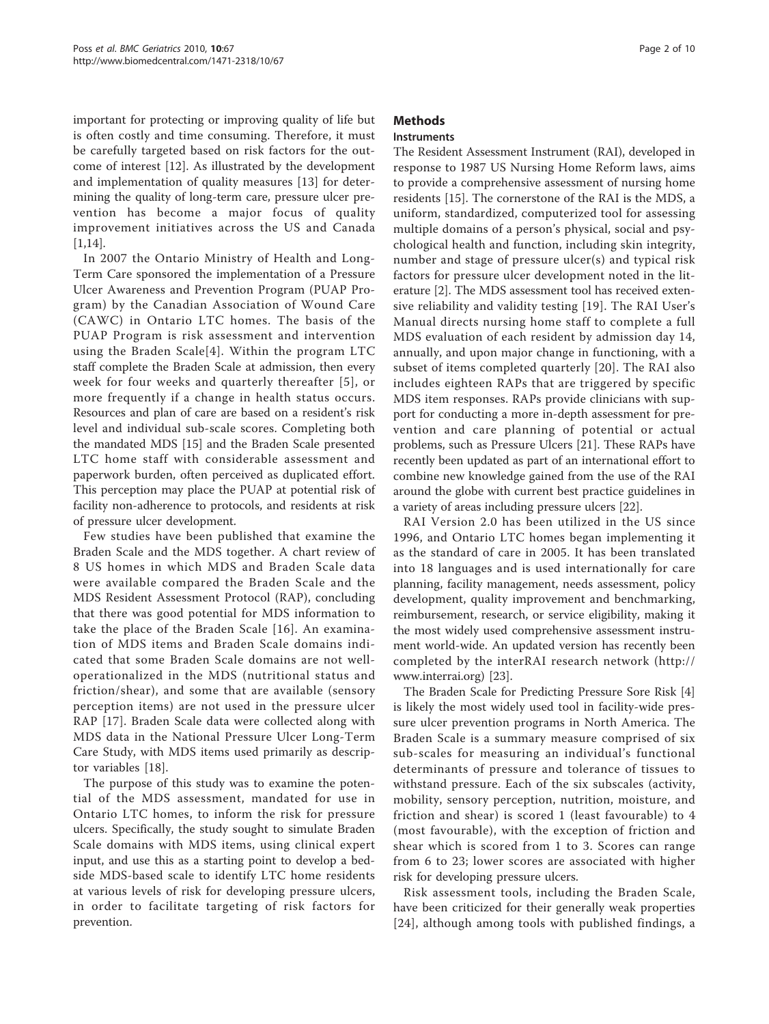important for protecting or improving quality of life but is often costly and time consuming. Therefore, it must be carefully targeted based on risk factors for the outcome of interest [\[12\]](#page-8-0). As illustrated by the development and implementation of quality measures [[13\]](#page-8-0) for determining the quality of long-term care, pressure ulcer prevention has become a major focus of quality improvement initiatives across the US and Canada [[1,14\]](#page-8-0).

In 2007 the Ontario Ministry of Health and Long-Term Care sponsored the implementation of a Pressure Ulcer Awareness and Prevention Program (PUAP Program) by the Canadian Association of Wound Care (CAWC) in Ontario LTC homes. The basis of the PUAP Program is risk assessment and intervention using the Braden Scale[[4\]](#page-8-0). Within the program LTC staff complete the Braden Scale at admission, then every week for four weeks and quarterly thereafter [[5\]](#page-8-0), or more frequently if a change in health status occurs. Resources and plan of care are based on a resident's risk level and individual sub-scale scores. Completing both the mandated MDS [\[15\]](#page-8-0) and the Braden Scale presented LTC home staff with considerable assessment and paperwork burden, often perceived as duplicated effort. This perception may place the PUAP at potential risk of facility non-adherence to protocols, and residents at risk of pressure ulcer development.

Few studies have been published that examine the Braden Scale and the MDS together. A chart review of 8 US homes in which MDS and Braden Scale data were available compared the Braden Scale and the MDS Resident Assessment Protocol (RAP), concluding that there was good potential for MDS information to take the place of the Braden Scale [[16\]](#page-8-0). An examination of MDS items and Braden Scale domains indicated that some Braden Scale domains are not welloperationalized in the MDS (nutritional status and friction/shear), and some that are available (sensory perception items) are not used in the pressure ulcer RAP [\[17\]](#page-8-0). Braden Scale data were collected along with MDS data in the National Pressure Ulcer Long-Term Care Study, with MDS items used primarily as descriptor variables [[18](#page-8-0)].

The purpose of this study was to examine the potential of the MDS assessment, mandated for use in Ontario LTC homes, to inform the risk for pressure ulcers. Specifically, the study sought to simulate Braden Scale domains with MDS items, using clinical expert input, and use this as a starting point to develop a bedside MDS-based scale to identify LTC home residents at various levels of risk for developing pressure ulcers, in order to facilitate targeting of risk factors for prevention.

## Methods

## **Instruments**

The Resident Assessment Instrument (RAI), developed in response to 1987 US Nursing Home Reform laws, aims to provide a comprehensive assessment of nursing home residents [[15](#page-8-0)]. The cornerstone of the RAI is the MDS, a uniform, standardized, computerized tool for assessing multiple domains of a person's physical, social and psychological health and function, including skin integrity, number and stage of pressure ulcer(s) and typical risk factors for pressure ulcer development noted in the literature [\[2](#page-8-0)]. The MDS assessment tool has received extensive reliability and validity testing [\[19\]](#page-8-0). The RAI User's Manual directs nursing home staff to complete a full MDS evaluation of each resident by admission day 14, annually, and upon major change in functioning, with a subset of items completed quarterly [[20\]](#page-8-0). The RAI also includes eighteen RAPs that are triggered by specific MDS item responses. RAPs provide clinicians with support for conducting a more in-depth assessment for prevention and care planning of potential or actual problems, such as Pressure Ulcers [[21\]](#page-8-0). These RAPs have recently been updated as part of an international effort to combine new knowledge gained from the use of the RAI around the globe with current best practice guidelines in a variety of areas including pressure ulcers [[22\]](#page-8-0).

RAI Version 2.0 has been utilized in the US since 1996, and Ontario LTC homes began implementing it as the standard of care in 2005. It has been translated into 18 languages and is used internationally for care planning, facility management, needs assessment, policy development, quality improvement and benchmarking, reimbursement, research, or service eligibility, making it the most widely used comprehensive assessment instrument world-wide. An updated version has recently been completed by the interRAI research network [\(http://](http://www.interrai.org) [www.interrai.org\)](http://www.interrai.org) [\[23\]](#page-8-0).

The Braden Scale for Predicting Pressure Sore Risk [[4](#page-8-0)] is likely the most widely used tool in facility-wide pressure ulcer prevention programs in North America. The Braden Scale is a summary measure comprised of six sub-scales for measuring an individual's functional determinants of pressure and tolerance of tissues to withstand pressure. Each of the six subscales (activity, mobility, sensory perception, nutrition, moisture, and friction and shear) is scored 1 (least favourable) to 4 (most favourable), with the exception of friction and shear which is scored from 1 to 3. Scores can range from 6 to 23; lower scores are associated with higher risk for developing pressure ulcers.

Risk assessment tools, including the Braden Scale, have been criticized for their generally weak properties [[24](#page-9-0)], although among tools with published findings, a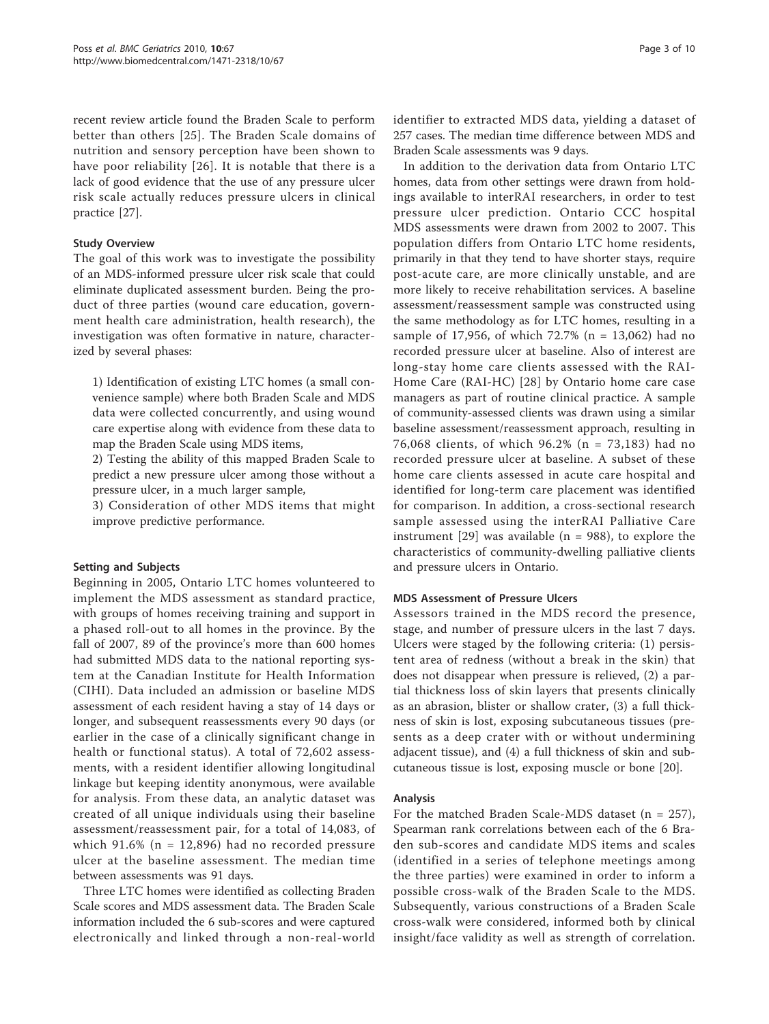recent review article found the Braden Scale to perform better than others [[25\]](#page-9-0). The Braden Scale domains of nutrition and sensory perception have been shown to have poor reliability [[26](#page-9-0)]. It is notable that there is a lack of good evidence that the use of any pressure ulcer risk scale actually reduces pressure ulcers in clinical practice [\[27\]](#page-9-0).

#### Study Overview

The goal of this work was to investigate the possibility of an MDS-informed pressure ulcer risk scale that could eliminate duplicated assessment burden. Being the product of three parties (wound care education, government health care administration, health research), the investigation was often formative in nature, characterized by several phases:

1) Identification of existing LTC homes (a small convenience sample) where both Braden Scale and MDS data were collected concurrently, and using wound care expertise along with evidence from these data to map the Braden Scale using MDS items,

2) Testing the ability of this mapped Braden Scale to predict a new pressure ulcer among those without a pressure ulcer, in a much larger sample,

3) Consideration of other MDS items that might improve predictive performance.

#### Setting and Subjects

Beginning in 2005, Ontario LTC homes volunteered to implement the MDS assessment as standard practice, with groups of homes receiving training and support in a phased roll-out to all homes in the province. By the fall of 2007, 89 of the province's more than 600 homes had submitted MDS data to the national reporting system at the Canadian Institute for Health Information (CIHI). Data included an admission or baseline MDS assessment of each resident having a stay of 14 days or longer, and subsequent reassessments every 90 days (or earlier in the case of a clinically significant change in health or functional status). A total of 72,602 assessments, with a resident identifier allowing longitudinal linkage but keeping identity anonymous, were available for analysis. From these data, an analytic dataset was created of all unique individuals using their baseline assessment/reassessment pair, for a total of 14,083, of which  $91.6\%$  (n = 12,896) had no recorded pressure ulcer at the baseline assessment. The median time between assessments was 91 days.

Three LTC homes were identified as collecting Braden Scale scores and MDS assessment data. The Braden Scale information included the 6 sub-scores and were captured electronically and linked through a non-real-world identifier to extracted MDS data, yielding a dataset of 257 cases. The median time difference between MDS and Braden Scale assessments was 9 days.

In addition to the derivation data from Ontario LTC homes, data from other settings were drawn from holdings available to interRAI researchers, in order to test pressure ulcer prediction. Ontario CCC hospital MDS assessments were drawn from 2002 to 2007. This population differs from Ontario LTC home residents, primarily in that they tend to have shorter stays, require post-acute care, are more clinically unstable, and are more likely to receive rehabilitation services. A baseline assessment/reassessment sample was constructed using the same methodology as for LTC homes, resulting in a sample of 17,956, of which 72.7% (n = 13,062) had no recorded pressure ulcer at baseline. Also of interest are long-stay home care clients assessed with the RAI-Home Care (RAI-HC) [[28](#page-9-0)] by Ontario home care case managers as part of routine clinical practice. A sample of community-assessed clients was drawn using a similar baseline assessment/reassessment approach, resulting in 76,068 clients, of which 96.2% (n = 73,183) had no recorded pressure ulcer at baseline. A subset of these home care clients assessed in acute care hospital and identified for long-term care placement was identified for comparison. In addition, a cross-sectional research sample assessed using the interRAI Palliative Care instrument [[29](#page-9-0)] was available ( $n = 988$ ), to explore the characteristics of community-dwelling palliative clients and pressure ulcers in Ontario.

#### MDS Assessment of Pressure Ulcers

Assessors trained in the MDS record the presence, stage, and number of pressure ulcers in the last 7 days. Ulcers were staged by the following criteria: (1) persistent area of redness (without a break in the skin) that does not disappear when pressure is relieved, (2) a partial thickness loss of skin layers that presents clinically as an abrasion, blister or shallow crater, (3) a full thickness of skin is lost, exposing subcutaneous tissues (presents as a deep crater with or without undermining adjacent tissue), and (4) a full thickness of skin and subcutaneous tissue is lost, exposing muscle or bone [[20\]](#page-8-0).

#### Analysis

For the matched Braden Scale-MDS dataset  $(n = 257)$ , Spearman rank correlations between each of the 6 Braden sub-scores and candidate MDS items and scales (identified in a series of telephone meetings among the three parties) were examined in order to inform a possible cross-walk of the Braden Scale to the MDS. Subsequently, various constructions of a Braden Scale cross-walk were considered, informed both by clinical insight/face validity as well as strength of correlation.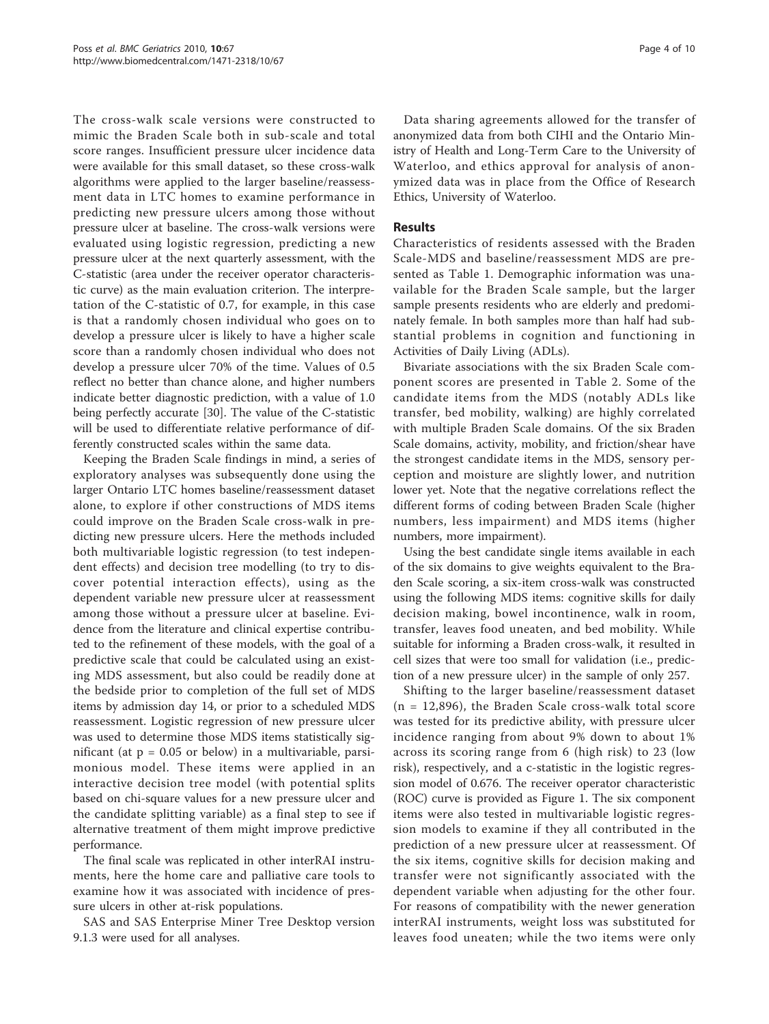The cross-walk scale versions were constructed to mimic the Braden Scale both in sub-scale and total score ranges. Insufficient pressure ulcer incidence data were available for this small dataset, so these cross-walk algorithms were applied to the larger baseline/reassessment data in LTC homes to examine performance in predicting new pressure ulcers among those without pressure ulcer at baseline. The cross-walk versions were evaluated using logistic regression, predicting a new pressure ulcer at the next quarterly assessment, with the C-statistic (area under the receiver operator characteristic curve) as the main evaluation criterion. The interpretation of the C-statistic of 0.7, for example, in this case is that a randomly chosen individual who goes on to develop a pressure ulcer is likely to have a higher scale score than a randomly chosen individual who does not develop a pressure ulcer 70% of the time. Values of 0.5 reflect no better than chance alone, and higher numbers indicate better diagnostic prediction, with a value of 1.0 being perfectly accurate [\[30](#page-9-0)]. The value of the C-statistic will be used to differentiate relative performance of differently constructed scales within the same data.

Keeping the Braden Scale findings in mind, a series of exploratory analyses was subsequently done using the larger Ontario LTC homes baseline/reassessment dataset alone, to explore if other constructions of MDS items could improve on the Braden Scale cross-walk in predicting new pressure ulcers. Here the methods included both multivariable logistic regression (to test independent effects) and decision tree modelling (to try to discover potential interaction effects), using as the dependent variable new pressure ulcer at reassessment among those without a pressure ulcer at baseline. Evidence from the literature and clinical expertise contributed to the refinement of these models, with the goal of a predictive scale that could be calculated using an existing MDS assessment, but also could be readily done at the bedside prior to completion of the full set of MDS items by admission day 14, or prior to a scheduled MDS reassessment. Logistic regression of new pressure ulcer was used to determine those MDS items statistically significant (at  $p = 0.05$  or below) in a multivariable, parsimonious model. These items were applied in an interactive decision tree model (with potential splits based on chi-square values for a new pressure ulcer and the candidate splitting variable) as a final step to see if alternative treatment of them might improve predictive performance.

The final scale was replicated in other interRAI instruments, here the home care and palliative care tools to examine how it was associated with incidence of pressure ulcers in other at-risk populations.

SAS and SAS Enterprise Miner Tree Desktop version 9.1.3 were used for all analyses.

Data sharing agreements allowed for the transfer of anonymized data from both CIHI and the Ontario Ministry of Health and Long-Term Care to the University of Waterloo, and ethics approval for analysis of anonymized data was in place from the Office of Research Ethics, University of Waterloo.

## Results

Characteristics of residents assessed with the Braden Scale-MDS and baseline/reassessment MDS are presented as Table [1](#page-4-0). Demographic information was unavailable for the Braden Scale sample, but the larger sample presents residents who are elderly and predominately female. In both samples more than half had substantial problems in cognition and functioning in Activities of Daily Living (ADLs).

Bivariate associations with the six Braden Scale component scores are presented in Table [2](#page-4-0). Some of the candidate items from the MDS (notably ADLs like transfer, bed mobility, walking) are highly correlated with multiple Braden Scale domains. Of the six Braden Scale domains, activity, mobility, and friction/shear have the strongest candidate items in the MDS, sensory perception and moisture are slightly lower, and nutrition lower yet. Note that the negative correlations reflect the different forms of coding between Braden Scale (higher numbers, less impairment) and MDS items (higher numbers, more impairment).

Using the best candidate single items available in each of the six domains to give weights equivalent to the Braden Scale scoring, a six-item cross-walk was constructed using the following MDS items: cognitive skills for daily decision making, bowel incontinence, walk in room, transfer, leaves food uneaten, and bed mobility. While suitable for informing a Braden cross-walk, it resulted in cell sizes that were too small for validation (i.e., prediction of a new pressure ulcer) in the sample of only 257.

Shifting to the larger baseline/reassessment dataset  $(n = 12,896)$ , the Braden Scale cross-walk total score was tested for its predictive ability, with pressure ulcer incidence ranging from about 9% down to about 1% across its scoring range from 6 (high risk) to 23 (low risk), respectively, and a c-statistic in the logistic regression model of 0.676. The receiver operator characteristic (ROC) curve is provided as Figure [1](#page-4-0). The six component items were also tested in multivariable logistic regression models to examine if they all contributed in the prediction of a new pressure ulcer at reassessment. Of the six items, cognitive skills for decision making and transfer were not significantly associated with the dependent variable when adjusting for the other four. For reasons of compatibility with the newer generation interRAI instruments, weight loss was substituted for leaves food uneaten; while the two items were only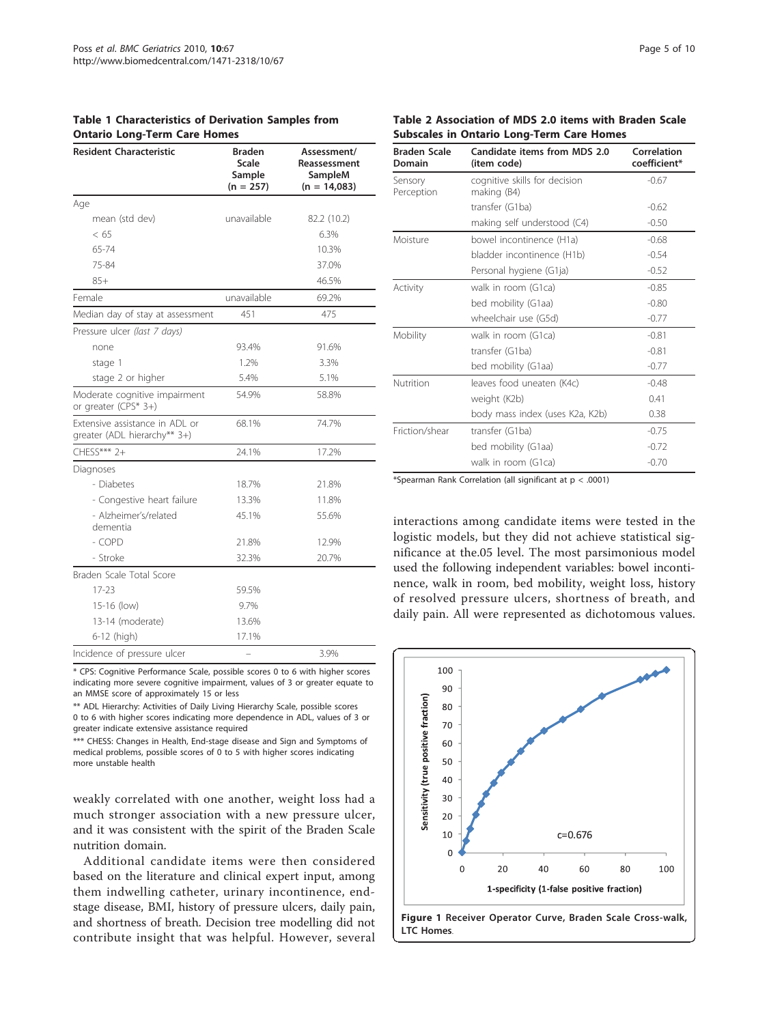<span id="page-4-0"></span>

| <b>Table 1 Characteristics of Derivation Samples from</b> |  |  |
|-----------------------------------------------------------|--|--|
| <b>Ontario Long-Term Care Homes</b>                       |  |  |

| <b>Resident Characteristic</b>                                 | <b>Braden</b><br><b>Scale</b><br>Sample<br>$(n = 257)$ | Assessment/<br>Reassessment<br>SampleM<br>$(n = 14,083)$ |
|----------------------------------------------------------------|--------------------------------------------------------|----------------------------------------------------------|
| Age                                                            |                                                        |                                                          |
| mean (std dev)                                                 | unavailable                                            | 82.2 (10.2)                                              |
| < 65                                                           |                                                        | 6.3%                                                     |
| 65-74                                                          |                                                        | 10.3%                                                    |
| 75-84                                                          |                                                        | 37.0%                                                    |
| $85+$                                                          |                                                        | 46.5%                                                    |
| Female                                                         | unavailable                                            | 69.2%                                                    |
| Median day of stay at assessment                               | 451                                                    | 475                                                      |
| Pressure ulcer (last 7 days)                                   |                                                        |                                                          |
| none                                                           | 93.4%                                                  | 91.6%                                                    |
| stage 1                                                        | 1.2%                                                   | 3.3%                                                     |
| stage 2 or higher                                              | 5.4%                                                   | 5.1%                                                     |
| Moderate cognitive impairment<br>or greater (CPS* 3+)          | 54.9%                                                  | 58.8%                                                    |
| Extensive assistance in ADL or<br>greater (ADL hierarchy** 3+) | 68.1%                                                  | 74.7%                                                    |
| CHESS*** 2+                                                    | 24.1%                                                  | 17.2%                                                    |
| Diagnoses                                                      |                                                        |                                                          |
| - Diabetes                                                     | 18.7%                                                  | 21.8%                                                    |
| - Congestive heart failure                                     | 13.3%                                                  | 11.8%                                                    |
| - Alzheimer's/related<br>dementia                              | 45.1%                                                  | 55.6%                                                    |
| - COPD                                                         | 21.8%                                                  | 12.9%                                                    |
| - Stroke                                                       | 32.3%                                                  | 20.7%                                                    |
| Braden Scale Total Score                                       |                                                        |                                                          |
| 17-23                                                          | 59.5%                                                  |                                                          |
| 15-16 (low)                                                    | 9.7%                                                   |                                                          |
| 13-14 (moderate)                                               | 13.6%                                                  |                                                          |
| 6-12 (high)                                                    | 17.1%                                                  |                                                          |
| Incidence of pressure ulcer                                    |                                                        | 3.9%                                                     |

\* CPS: Cognitive Performance Scale, possible scores 0 to 6 with higher scores indicating more severe cognitive impairment, values of 3 or greater equate to an MMSE score of approximately 15 or less

\*\* ADL Hierarchy: Activities of Daily Living Hierarchy Scale, possible scores 0 to 6 with higher scores indicating more dependence in ADL, values of 3 or greater indicate extensive assistance required

\*\*\* CHESS: Changes in Health, End-stage disease and Sign and Symptoms of medical problems, possible scores of 0 to 5 with higher scores indicating more unstable health

weakly correlated with one another, weight loss had a much stronger association with a new pressure ulcer, and it was consistent with the spirit of the Braden Scale nutrition domain.

Additional candidate items were then considered based on the literature and clinical expert input, among them indwelling catheter, urinary incontinence, endstage disease, BMI, history of pressure ulcers, daily pain, and shortness of breath. Decision tree modelling did not contribute insight that was helpful. However, several

## Table 2 Association of MDS 2.0 items with Braden Scale Subscales in Ontario Long-Term Care Homes

| <b>Braden Scale</b><br>Domain | Candidate items from MDS 2.0<br>(item code)  | Correlation<br>coefficient* |
|-------------------------------|----------------------------------------------|-----------------------------|
| Sensory<br>Perception         | cognitive skills for decision<br>making (B4) | $-0.67$                     |
|                               | transfer (G1ba)                              | $-0.62$                     |
|                               | making self understood (C4)                  | $-0.50$                     |
| Moisture                      | bowel incontinence (H1a)                     | $-0.68$                     |
|                               | bladder incontinence (H1b)                   | $-0.54$                     |
|                               | Personal hygiene (G1ja)                      | $-0.52$                     |
| Activity                      | walk in room (G1ca)                          | $-0.85$                     |
|                               | bed mobility (G1aa)                          | $-0.80$                     |
|                               | wheelchair use (G5d)                         | $-0.77$                     |
| Mobility                      | walk in room (G1ca)                          | $-0.81$                     |
|                               | transfer (G1ba)                              | $-0.81$                     |
|                               | bed mobility (G1aa)                          | $-0.77$                     |
| Nutrition                     | leaves food uneaten (K4c)                    | $-0.48$                     |
|                               | weight (K2b)                                 | 0.41                        |
|                               | body mass index (uses K2a, K2b)              | 0.38                        |
| Friction/shear                | transfer (G1ba)                              | $-0.75$                     |
|                               | bed mobility (G1aa)                          | $-0.72$                     |
|                               | walk in room (G1ca)                          | $-0.70$                     |

\*Spearman Rank Correlation (all significant at p < .0001)

interactions among candidate items were tested in the logistic models, but they did not achieve statistical significance at the.05 level. The most parsimonious model used the following independent variables: bowel incontinence, walk in room, bed mobility, weight loss, history of resolved pressure ulcers, shortness of breath, and daily pain. All were represented as dichotomous values.

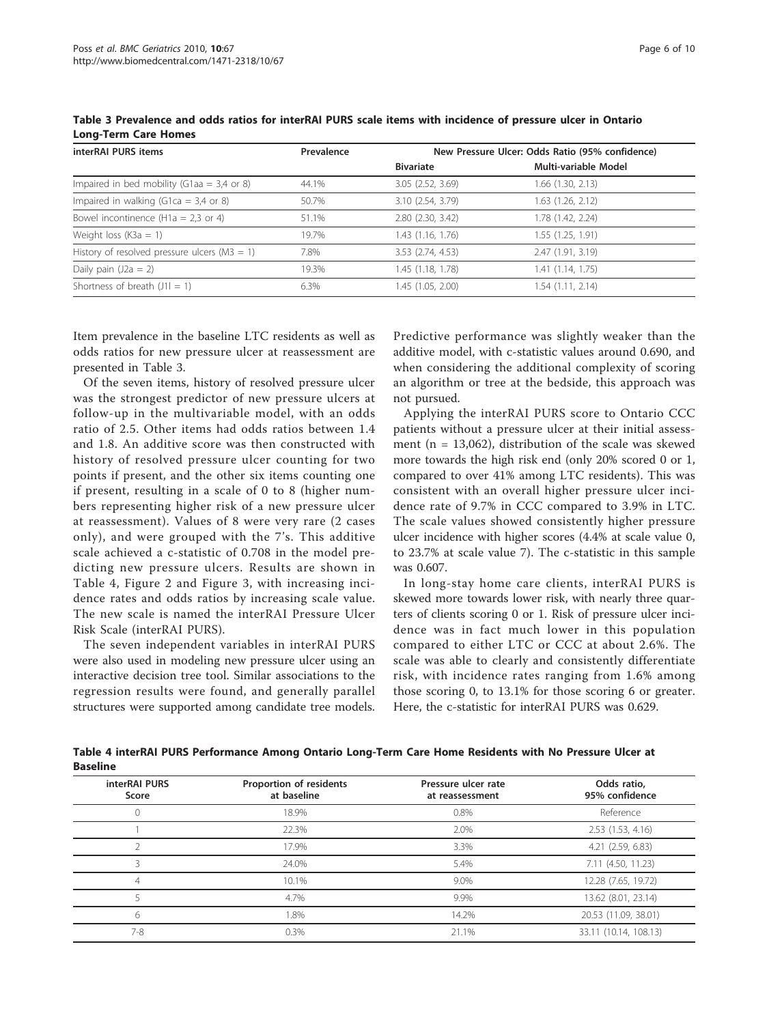| interRAI PURS items                              | Prevalence | New Pressure Ulcer: Odds Ratio (95% confidence) |                      |  |
|--------------------------------------------------|------------|-------------------------------------------------|----------------------|--|
|                                                  |            | <b>Bivariate</b>                                | Multi-variable Model |  |
| Impaired in bed mobility (G1aa = $3,4$ or 8)     | 44.1%      | $3.05$ $(2.52, 3.69)$                           | 1.66 (1.30, 2.13)    |  |
| Impaired in walking (G1ca = $3,4$ or 8)          | 50.7%      | 3.10 (2.54, 3.79)                               | 1.63 (1.26, 2.12)    |  |
| Bowel incontinence (H1a = 2,3 or 4)              | 51.1%      | 2.80 (2.30, 3.42)                               | 1.78 (1.42, 2.24)    |  |
| Weight loss $(K3a = 1)$                          | 19.7%      | 1.43 (1.16, 1.76)                               | 1.55 (1.25, 1.91)    |  |
| History of resolved pressure ulcers ( $M3 = 1$ ) | 7.8%       | 3.53 (2.74, 4.53)                               | 2.47 (1.91, 3.19)    |  |
| Daily pain $(J2a = 2)$                           | 19.3%      | 1.45 (1.18, 1.78)                               | 1.41 (1.14, 1.75)    |  |
| Shortness of breath $(J11 = 1)$                  | 6.3%       | 1.45 (1.05, 2.00)                               | 1.54 (1.11, 2.14)    |  |

Table 3 Prevalence and odds ratios for interRAI PURS scale items with incidence of pressure ulcer in Ontario Long-Term Care Homes

Item prevalence in the baseline LTC residents as well as odds ratios for new pressure ulcer at reassessment are presented in Table 3.

Of the seven items, history of resolved pressure ulcer was the strongest predictor of new pressure ulcers at follow-up in the multivariable model, with an odds ratio of 2.5. Other items had odds ratios between 1.4 and 1.8. An additive score was then constructed with history of resolved pressure ulcer counting for two points if present, and the other six items counting one if present, resulting in a scale of 0 to 8 (higher numbers representing higher risk of a new pressure ulcer at reassessment). Values of 8 were very rare (2 cases only), and were grouped with the 7's. This additive scale achieved a c-statistic of 0.708 in the model predicting new pressure ulcers. Results are shown in Table 4, Figure [2](#page-6-0) and Figure [3](#page-6-0), with increasing incidence rates and odds ratios by increasing scale value. The new scale is named the interRAI Pressure Ulcer Risk Scale (interRAI PURS).

The seven independent variables in interRAI PURS were also used in modeling new pressure ulcer using an interactive decision tree tool. Similar associations to the regression results were found, and generally parallel structures were supported among candidate tree models.

Predictive performance was slightly weaker than the additive model, with c-statistic values around 0.690, and when considering the additional complexity of scoring an algorithm or tree at the bedside, this approach was not pursued.

Applying the interRAI PURS score to Ontario CCC patients without a pressure ulcer at their initial assessment ( $n = 13,062$ ), distribution of the scale was skewed more towards the high risk end (only 20% scored 0 or 1, compared to over 41% among LTC residents). This was consistent with an overall higher pressure ulcer incidence rate of 9.7% in CCC compared to 3.9% in LTC. The scale values showed consistently higher pressure ulcer incidence with higher scores (4.4% at scale value 0, to 23.7% at scale value 7). The c-statistic in this sample was 0.607.

In long-stay home care clients, interRAI PURS is skewed more towards lower risk, with nearly three quarters of clients scoring 0 or 1. Risk of pressure ulcer incidence was in fact much lower in this population compared to either LTC or CCC at about 2.6%. The scale was able to clearly and consistently differentiate risk, with incidence rates ranging from 1.6% among those scoring 0, to 13.1% for those scoring 6 or greater. Here, the c-statistic for interRAI PURS was 0.629.

Table 4 interRAI PURS Performance Among Ontario Long-Term Care Home Residents with No Pressure Ulcer at Baseline

| interRAI PURS<br>Score | Proportion of residents<br>at baseline | Pressure ulcer rate<br>at reassessment | Odds ratio,<br>95% confidence |
|------------------------|----------------------------------------|----------------------------------------|-------------------------------|
|                        | 18.9%                                  | 0.8%                                   | Reference                     |
|                        | 22.3%                                  | 2.0%                                   | 2.53(1.53, 4.16)              |
|                        | 17.9%                                  | 3.3%                                   | 4.21 (2.59, 6.83)             |
|                        | 24.0%                                  | 5.4%                                   | 7.11 (4.50, 11.23)            |
| $\overline{4}$         | 10.1%                                  | 9.0%                                   | 12.28 (7.65, 19.72)           |
|                        | 4.7%                                   | 9.9%                                   | 13.62 (8.01, 23.14)           |
| 6                      | 1.8%                                   | 14.2%                                  | 20.53 (11.09, 38.01)          |
| $7 - 8$                | 0.3%                                   | 21.1%                                  | 33.11 (10.14, 108.13)         |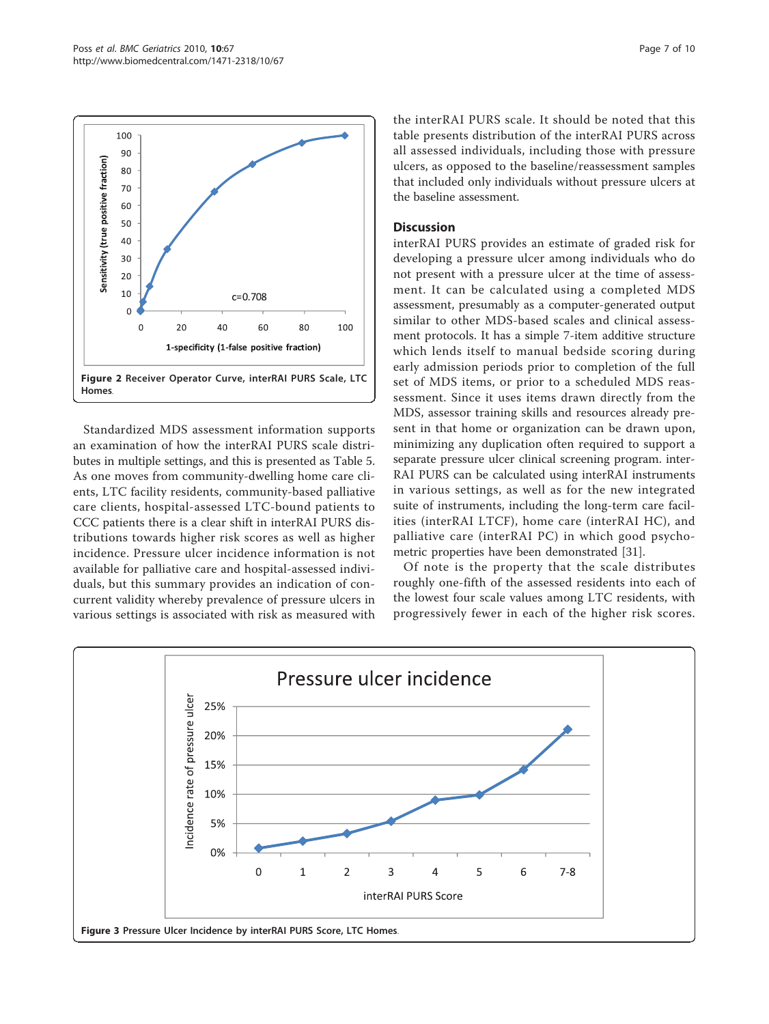<span id="page-6-0"></span>

Standardized MDS assessment information supports an examination of how the interRAI PURS scale distributes in multiple settings, and this is presented as Table [5](#page-7-0). As one moves from community-dwelling home care clients, LTC facility residents, community-based palliative care clients, hospital-assessed LTC-bound patients to CCC patients there is a clear shift in interRAI PURS distributions towards higher risk scores as well as higher incidence. Pressure ulcer incidence information is not available for palliative care and hospital-assessed individuals, but this summary provides an indication of concurrent validity whereby prevalence of pressure ulcers in various settings is associated with risk as measured with the interRAI PURS scale. It should be noted that this table presents distribution of the interRAI PURS across all assessed individuals, including those with pressure ulcers, as opposed to the baseline/reassessment samples that included only individuals without pressure ulcers at the baseline assessment.

## **Discussion**

interRAI PURS provides an estimate of graded risk for developing a pressure ulcer among individuals who do not present with a pressure ulcer at the time of assessment. It can be calculated using a completed MDS assessment, presumably as a computer-generated output similar to other MDS-based scales and clinical assessment protocols. It has a simple 7-item additive structure which lends itself to manual bedside scoring during early admission periods prior to completion of the full set of MDS items, or prior to a scheduled MDS reassessment. Since it uses items drawn directly from the MDS, assessor training skills and resources already present in that home or organization can be drawn upon, minimizing any duplication often required to support a separate pressure ulcer clinical screening program. inter-RAI PURS can be calculated using interRAI instruments in various settings, as well as for the new integrated suite of instruments, including the long-term care facilities (interRAI LTCF), home care (interRAI HC), and palliative care (interRAI PC) in which good psychometric properties have been demonstrated [[31\]](#page-9-0).

Of note is the property that the scale distributes roughly one-fifth of the assessed residents into each of the lowest four scale values among LTC residents, with progressively fewer in each of the higher risk scores.

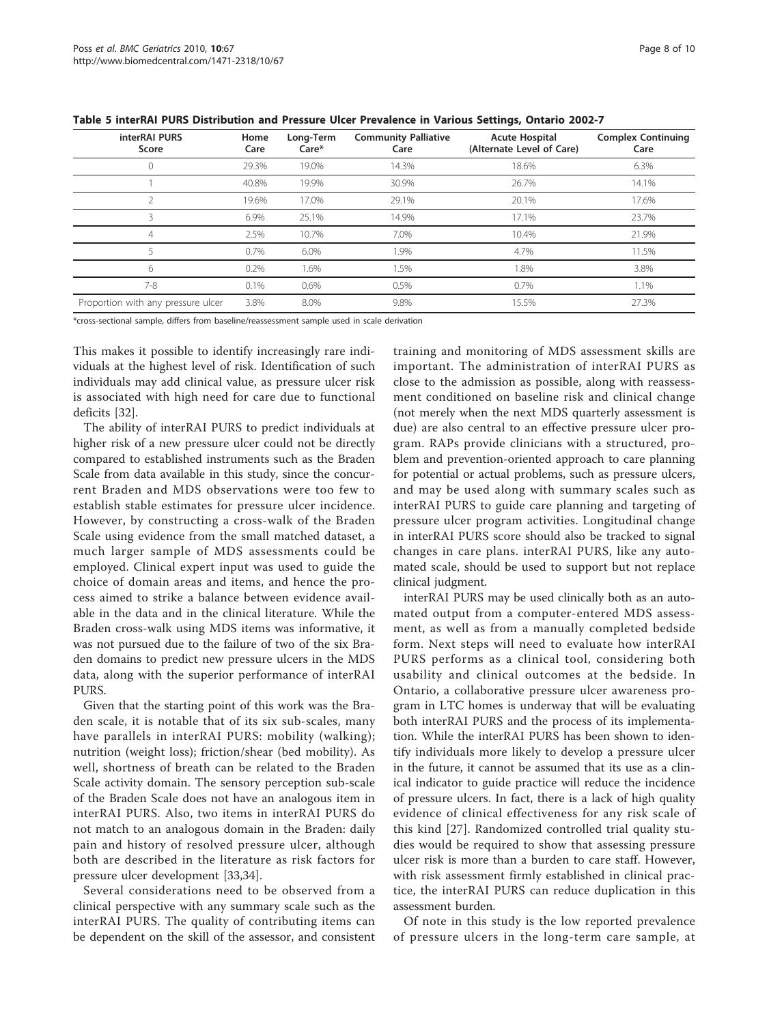| interRAI PURS<br>Score             | Home<br>Care | Long-Term<br>$Care*$ | <b>Community Palliative</b><br>Care | <b>Acute Hospital</b><br>(Alternate Level of Care) | <b>Complex Continuing</b><br>Care |
|------------------------------------|--------------|----------------------|-------------------------------------|----------------------------------------------------|-----------------------------------|
| 0                                  | 29.3%        | 19.0%                | 14.3%                               | 18.6%                                              | 6.3%                              |
|                                    | 40.8%        | 19.9%                | 30.9%                               | 26.7%                                              | 14.1%                             |
|                                    | 19.6%        | 17.0%                | 29.1%                               | 20.1%                                              | 17.6%                             |
|                                    | 6.9%         | 25.1%                | 14.9%                               | 17.1%                                              | 23.7%                             |
| 4                                  | 2.5%         | 10.7%                | 7.0%                                | 10.4%                                              | 21.9%                             |
| 5                                  | 0.7%         | 6.0%                 | 1.9%                                | 4.7%                                               | 11.5%                             |
| 6                                  | 0.2%         | 1.6%                 | 1.5%                                | 1.8%                                               | 3.8%                              |
| $7 - 8$                            | 0.1%         | 0.6%                 | 0.5%                                | 0.7%                                               | 1.1%                              |
| Proportion with any pressure ulcer | 3.8%         | 8.0%                 | 9.8%                                | 15.5%                                              | 27.3%                             |

<span id="page-7-0"></span>Table 5 interRAI PURS Distribution and Pressure Ulcer Prevalence in Various Settings, Ontario 2002-7

\*cross-sectional sample, differs from baseline/reassessment sample used in scale derivation

This makes it possible to identify increasingly rare individuals at the highest level of risk. Identification of such individuals may add clinical value, as pressure ulcer risk is associated with high need for care due to functional deficits [[32\]](#page-9-0).

The ability of interRAI PURS to predict individuals at higher risk of a new pressure ulcer could not be directly compared to established instruments such as the Braden Scale from data available in this study, since the concurrent Braden and MDS observations were too few to establish stable estimates for pressure ulcer incidence. However, by constructing a cross-walk of the Braden Scale using evidence from the small matched dataset, a much larger sample of MDS assessments could be employed. Clinical expert input was used to guide the choice of domain areas and items, and hence the process aimed to strike a balance between evidence available in the data and in the clinical literature. While the Braden cross-walk using MDS items was informative, it was not pursued due to the failure of two of the six Braden domains to predict new pressure ulcers in the MDS data, along with the superior performance of interRAI PURS.

Given that the starting point of this work was the Braden scale, it is notable that of its six sub-scales, many have parallels in interRAI PURS: mobility (walking); nutrition (weight loss); friction/shear (bed mobility). As well, shortness of breath can be related to the Braden Scale activity domain. The sensory perception sub-scale of the Braden Scale does not have an analogous item in interRAI PURS. Also, two items in interRAI PURS do not match to an analogous domain in the Braden: daily pain and history of resolved pressure ulcer, although both are described in the literature as risk factors for pressure ulcer development [\[33,34\]](#page-9-0).

Several considerations need to be observed from a clinical perspective with any summary scale such as the interRAI PURS. The quality of contributing items can be dependent on the skill of the assessor, and consistent

training and monitoring of MDS assessment skills are important. The administration of interRAI PURS as close to the admission as possible, along with reassessment conditioned on baseline risk and clinical change (not merely when the next MDS quarterly assessment is due) are also central to an effective pressure ulcer program. RAPs provide clinicians with a structured, problem and prevention-oriented approach to care planning for potential or actual problems, such as pressure ulcers, and may be used along with summary scales such as interRAI PURS to guide care planning and targeting of pressure ulcer program activities. Longitudinal change in interRAI PURS score should also be tracked to signal changes in care plans. interRAI PURS, like any automated scale, should be used to support but not replace clinical judgment.

interRAI PURS may be used clinically both as an automated output from a computer-entered MDS assessment, as well as from a manually completed bedside form. Next steps will need to evaluate how interRAI PURS performs as a clinical tool, considering both usability and clinical outcomes at the bedside. In Ontario, a collaborative pressure ulcer awareness program in LTC homes is underway that will be evaluating both interRAI PURS and the process of its implementation. While the interRAI PURS has been shown to identify individuals more likely to develop a pressure ulcer in the future, it cannot be assumed that its use as a clinical indicator to guide practice will reduce the incidence of pressure ulcers. In fact, there is a lack of high quality evidence of clinical effectiveness for any risk scale of this kind [[27\]](#page-9-0). Randomized controlled trial quality studies would be required to show that assessing pressure ulcer risk is more than a burden to care staff. However, with risk assessment firmly established in clinical practice, the interRAI PURS can reduce duplication in this assessment burden.

Of note in this study is the low reported prevalence of pressure ulcers in the long-term care sample, at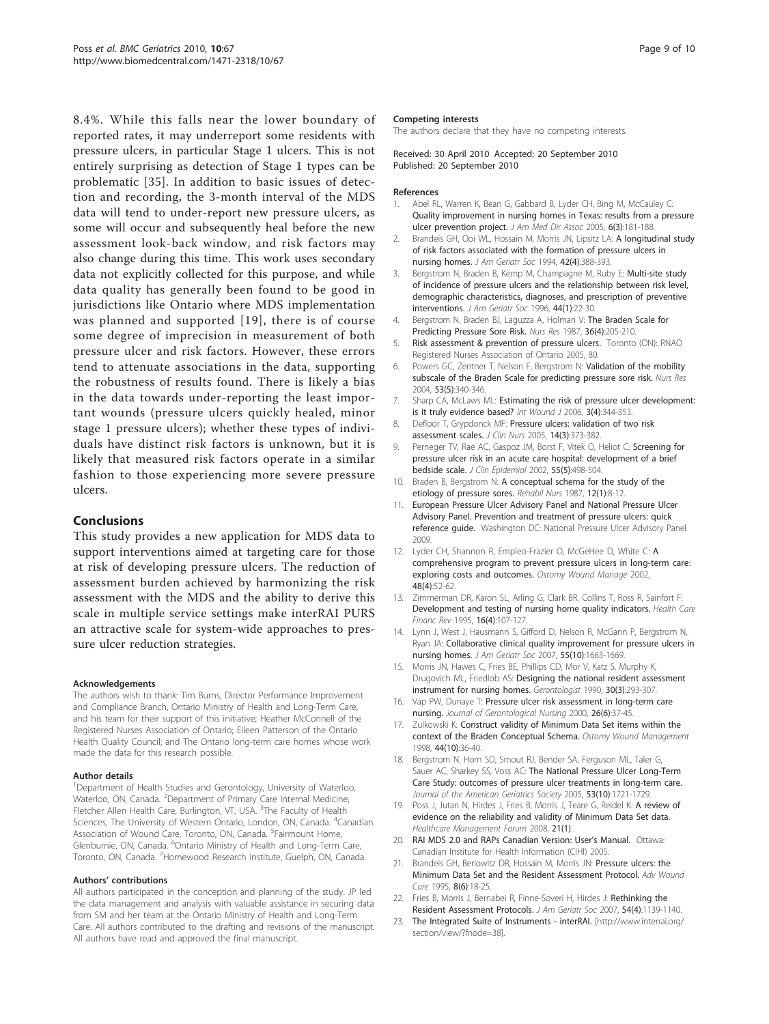<span id="page-8-0"></span>8.4%. While this falls near the lower boundary of reported rates, it may underreport some residents with pressure ulcers, in particular Stage 1 ulcers. This is not entirely surprising as detection of Stage 1 types can be problematic [[35](#page-9-0)]. In addition to basic issues of detection and recording, the 3-month interval of the MDS data will tend to under-report new pressure ulcers, as some will occur and subsequently heal before the new assessment look-back window, and risk factors may also change during this time. This work uses secondary data not explicitly collected for this purpose, and while data quality has generally been found to be good in jurisdictions like Ontario where MDS implementation was planned and supported [19], there is of course some degree of imprecision in measurement of both pressure ulcer and risk factors. However, these errors tend to attenuate associations in the data, supporting the robustness of results found. There is likely a bias in the data towards under-reporting the least important wounds (pressure ulcers quickly healed, minor stage 1 pressure ulcers); whether these types of individuals have distinct risk factors is unknown, but it is likely that measured risk factors operate in a similar fashion to those experiencing more severe pressure ulcers.

## Conclusions

This study provides a new application for MDS data to support interventions aimed at targeting care for those at risk of developing pressure ulcers. The reduction of assessment burden achieved by harmonizing the risk assessment with the MDS and the ability to derive this scale in multiple service settings make interRAI PURS an attractive scale for system-wide approaches to pressure ulcer reduction strategies.

#### Acknowledgements

The authors wish to thank: Tim Burns, Director Performance Improvement and Compliance Branch, Ontario Ministry of Health and Long-Term Care, and his team for their support of this initiative; Heather McConnell of the Registered Nurses Association of Ontario; Eileen Patterson of the Ontario Health Quality Council; and The Ontario long-term care homes whose work made the data for this research possible.

#### Author details

<sup>1</sup>Department of Health Studies and Gerontology, University of Waterloo, Waterloo, ON, Canada. <sup>2</sup>Department of Primary Care Internal Medicine, Fletcher Allen Health Care, Burlington, VT, USA. <sup>3</sup>The Faculty of Health Sciences, The University of Western Ontario, London, ON, Canada. <sup>4</sup>Canadian Association of Wound Care, Toronto, ON, Canada. <sup>5</sup>Fairmount Home, Glenburnie, ON, Canada. <sup>6</sup>Ontario Ministry of Health and Long-Term Care, Toronto, ON, Canada. <sup>7</sup>Homewood Research Institute, Guelph, ON, Canada.

#### Authors' contributions

All authors participated in the conception and planning of the study. JP led the data management and analysis with valuable assistance in securing data from SM and her team at the Ontario Ministry of Health and Long-Term Care. All authors contributed to the drafting and revisions of the manuscript. All authors have read and approved the final manuscript.

#### Competing interests

The authors declare that they have no competing interests.

Received: 30 April 2010 Accepted: 20 September 2010 Published: 20 September 2010

#### References

- 1. Abel RL, Warren K, Bean G, Gabbard B, Lyder CH, Bing M, McCauley C: [Quality improvement in nursing homes in Texas: results from a pressure](http://www.ncbi.nlm.nih.gov/pubmed/15894247?dopt=Abstract) [ulcer prevention project.](http://www.ncbi.nlm.nih.gov/pubmed/15894247?dopt=Abstract) J Am Med Dir Assoc 2005, 6(3):181-188.
- Brandeis GH, Ooi WL, Hossain M, Morris JN, Lipsitz LA: [A longitudinal study](http://www.ncbi.nlm.nih.gov/pubmed/8144823?dopt=Abstract) [of risk factors associated with the formation of pressure ulcers in](http://www.ncbi.nlm.nih.gov/pubmed/8144823?dopt=Abstract) [nursing homes.](http://www.ncbi.nlm.nih.gov/pubmed/8144823?dopt=Abstract) J Am Geriatr Soc 1994, 42(4):388-393.
- 3. Bergstrom N, Braden B, Kemp M, Champagne M, Ruby E: [Multi-site study](http://www.ncbi.nlm.nih.gov/pubmed/8537586?dopt=Abstract) [of incidence of pressure ulcers and the relationship between risk level,](http://www.ncbi.nlm.nih.gov/pubmed/8537586?dopt=Abstract) [demographic characteristics, diagnoses, and prescription of preventive](http://www.ncbi.nlm.nih.gov/pubmed/8537586?dopt=Abstract) [interventions.](http://www.ncbi.nlm.nih.gov/pubmed/8537586?dopt=Abstract) J Am Geriatr Soc 1996, 44(1):22-30.
- 4. Bergstrom N, Braden BJ, Laguzza A, Holman V: [The Braden Scale for](http://www.ncbi.nlm.nih.gov/pubmed/3299278?dopt=Abstract) [Predicting Pressure Sore Risk.](http://www.ncbi.nlm.nih.gov/pubmed/3299278?dopt=Abstract) Nurs Res 1987, 36(4):205-210.
- 5. Risk assessment & prevention of pressure ulcers. Toronto (ON): RNAO Registered Nurses Association of Ontario 2005, 80.
- 6. Powers GC, Zentner T, Nelson F, Bergstrom N: [Validation of the mobility](http://www.ncbi.nlm.nih.gov/pubmed/15385871?dopt=Abstract) [subscale of the Braden Scale for predicting pressure sore risk.](http://www.ncbi.nlm.nih.gov/pubmed/15385871?dopt=Abstract) Nurs Res 2004, 53(5):340-346.
- 7. Sharp CA, McLaws ML: [Estimating the risk of pressure ulcer development:](http://www.ncbi.nlm.nih.gov/pubmed/17199769?dopt=Abstract) [is it truly evidence based?](http://www.ncbi.nlm.nih.gov/pubmed/17199769?dopt=Abstract) Int Wound J 2006, 3(4):344-353.
- 8. Defloor T, Grypdonck MF: [Pressure ulcers: validation of two risk](http://www.ncbi.nlm.nih.gov/pubmed/15707448?dopt=Abstract) [assessment scales.](http://www.ncbi.nlm.nih.gov/pubmed/15707448?dopt=Abstract) J Clin Nurs 2005, 14(3):373-382.
- 9. Perneger TV, Rae AC, Gaspoz JM, Borst F, Vitek O, Heliot C: [Screening for](http://www.ncbi.nlm.nih.gov/pubmed/12007553?dopt=Abstract) [pressure ulcer risk in an acute care hospital: development of a brief](http://www.ncbi.nlm.nih.gov/pubmed/12007553?dopt=Abstract) [bedside scale.](http://www.ncbi.nlm.nih.gov/pubmed/12007553?dopt=Abstract) J Clin Epidemiol 2002, 55(5):498-504.
- 10. Braden B, Bergstrom N: [A conceptual schema for the study of the](http://www.ncbi.nlm.nih.gov/pubmed/3643620?dopt=Abstract) [etiology of pressure sores.](http://www.ncbi.nlm.nih.gov/pubmed/3643620?dopt=Abstract) Rehabil Nurs 1987, 12(1):8-12.
- 11. European Pressure Ulcer Advisory Panel and National Pressure Ulcer Advisory Panel. Prevention and treatment of pressure ulcers: quick reference guide. Washington DC: National Pressure Ulcer Advisory Panel 2009.
- 12. Lyder CH, Shannon R, Empleo-Frazier O, McGeHee D, White C: [A](http://www.ncbi.nlm.nih.gov/pubmed/11993061?dopt=Abstract) [comprehensive program to prevent pressure ulcers in long-term care:](http://www.ncbi.nlm.nih.gov/pubmed/11993061?dopt=Abstract) [exploring costs and outcomes.](http://www.ncbi.nlm.nih.gov/pubmed/11993061?dopt=Abstract) Ostomy Wound Manage 2002, 48(4):52-62.
- 13. Zimmerman DR, Karon SL, Arling G, Clark BR, Collins T, Ross R, Sainfort F: [Development and testing of nursing home quality indicators.](http://www.ncbi.nlm.nih.gov/pubmed/10151883?dopt=Abstract) Health Care Financ Rev 1995, 16(4):107-127.
- 14. Lynn J, West J, Hausmann S, Gifford D, Nelson R, McGann P, Bergstrom N, Ryan JA: [Collaborative clinical quality improvement for pressure ulcers in](http://www.ncbi.nlm.nih.gov/pubmed/17714457?dopt=Abstract) [nursing homes.](http://www.ncbi.nlm.nih.gov/pubmed/17714457?dopt=Abstract) J Am Geriatr Soc 2007, 55(10):1663-1669.
- 15. Morris JN, Hawes C, Fries BE, Phillips CD, Mor V, Katz S, Murphy K, Drugovich ML, Friedlob AS: [Designing the national resident assessment](http://www.ncbi.nlm.nih.gov/pubmed/2354790?dopt=Abstract) [instrument for nursing homes.](http://www.ncbi.nlm.nih.gov/pubmed/2354790?dopt=Abstract) Gerontologist 1990, 30(3):293-307.
- 16. Vap PW, Dunaye T: [Pressure ulcer risk assessment in long-term care](http://www.ncbi.nlm.nih.gov/pubmed/11249268?dopt=Abstract) [nursing.](http://www.ncbi.nlm.nih.gov/pubmed/11249268?dopt=Abstract) Journal of Gerontological Nursing 2000, 26(6):37-45.
- 17. Zulkowski K: Construct validity of Minimum Data Set items within the context of the Braden Conceptual Schema. Ostomy Wound Management 1998, 44(10):36-40.
- 18. Bergstrom N, Horn SD, Smout RJ, Bender SA, Ferguson ML, Taler G, Sauer AC, Sharkey SS, Voss AC: [The National Pressure Ulcer Long-Term](http://www.ncbi.nlm.nih.gov/pubmed/16181171?dopt=Abstract) [Care Study: outcomes of pressure ulcer treatments in long-term care.](http://www.ncbi.nlm.nih.gov/pubmed/16181171?dopt=Abstract) Journal of the American Geriatrics Society 2005, 53(10):1721-1729
- 19. Poss J, Jutan N, Hirdes J, Fries B, Morris J, Teare G, Reidel K: [A review of](http://www.ncbi.nlm.nih.gov/pubmed/18814426?dopt=Abstract) [evidence on the reliability and validity of Minimum Data Set data.](http://www.ncbi.nlm.nih.gov/pubmed/18814426?dopt=Abstract) Healthcare Management Forum 2008, 21(1).
- 20. RAI MDS 2.0 and RAPs Canadian Version: User's Manual. Ottawa: Canadian Institute for Health Information (CIHI) 2005.
- 21. Brandeis GH, Berlowitz DR, Hossain M, Morris JN: [Pressure ulcers: the](http://www.ncbi.nlm.nih.gov/pubmed/8696573?dopt=Abstract) [Minimum Data Set and the Resident Assessment Protocol.](http://www.ncbi.nlm.nih.gov/pubmed/8696573?dopt=Abstract) Adv Wound Care 1995, 8(6):18-25.
- 22. Fries B, Morris J, Bernabei R, Finne-Soveri H, Hirdes J: Rethinking the Resident Assessment Protocols. J Am Geriatr Soc 2007, 54(4):1139-1140.
- The Integrated Suite of Instruments interRAI. [[http://www.interrai.org/](http://www.interrai.org/section/view/?fnode=38) [section/view/?fnode=38](http://www.interrai.org/section/view/?fnode=38)].